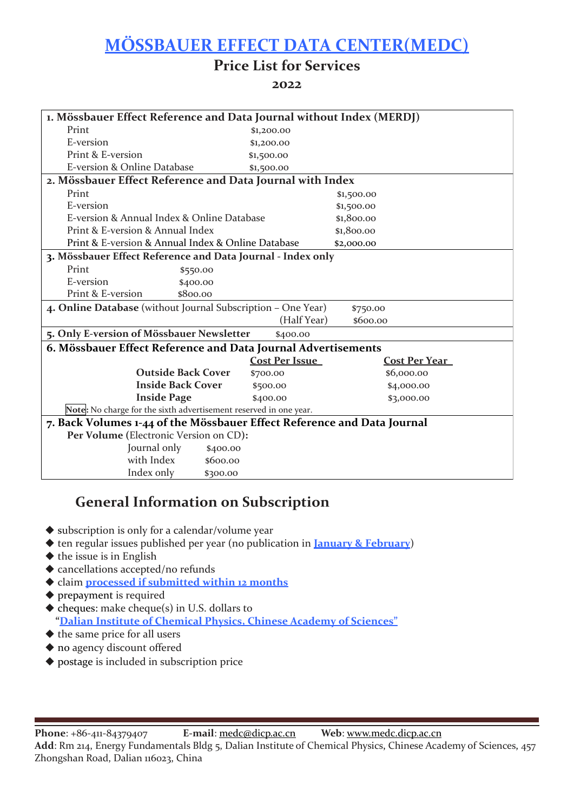## **MÖ SSBAUER EFFECT DATA CENTER(MEDC)**

#### **Price List for Services**

#### **2022**

| 1. Mössbauer Effect Reference and Data Journal without Index (MERDJ)     |                       |                      |  |  |
|--------------------------------------------------------------------------|-----------------------|----------------------|--|--|
| Print                                                                    | \$1,200.00            |                      |  |  |
| E-version                                                                | \$1,200.00            |                      |  |  |
| Print & E-version                                                        | \$1,500.00            |                      |  |  |
| E-version & Online Database                                              | \$1,500.00            |                      |  |  |
| 2. Mössbauer Effect Reference and Data Journal with Index                |                       |                      |  |  |
| Print                                                                    |                       | \$1,500.00           |  |  |
| E-version                                                                |                       | \$1,500.00           |  |  |
| E-version & Annual Index & Online Database                               |                       | \$1,800.00           |  |  |
| Print & E-version & Annual Index                                         |                       | \$1,800.00           |  |  |
| Print & E-version & Annual Index & Online Database                       |                       | \$2,000.00           |  |  |
| 3. Mössbauer Effect Reference and Data Journal - Index only              |                       |                      |  |  |
| Print<br>\$550.00                                                        |                       |                      |  |  |
| E-version<br>\$400.00                                                    |                       |                      |  |  |
| Print & E-version<br>\$800.00                                            |                       |                      |  |  |
| 4. Online Database (without Journal Subscription - One Year)<br>\$750.00 |                       |                      |  |  |
|                                                                          | (Half Year)           | \$600.00             |  |  |
| 5. Only E-version of Mössbauer Newsletter<br>\$400.00                    |                       |                      |  |  |
| 6. Mössbauer Effect Reference and Data Journal Advertisements            |                       |                      |  |  |
|                                                                          | <b>Cost Per Issue</b> | <b>Cost Per Year</b> |  |  |
| <b>Outside Back Cover</b>                                                | \$700.00              | \$6,000.00           |  |  |
| <b>Inside Back Cover</b>                                                 | \$500.00              | \$4,000.00           |  |  |
| <b>Inside Page</b>                                                       | \$400.00              | \$3,000.00           |  |  |
| Note: No charge for the sixth advertisement reserved in one year.        |                       |                      |  |  |
| 7. Back Volumes 1-44 of the Mössbauer Effect Reference and Data Journal  |                       |                      |  |  |
| Per Volume (Electronic Version on CD):                                   |                       |                      |  |  |
| Journal only<br>\$400.00                                                 |                       |                      |  |  |
| with Index<br>\$600.00                                                   |                       |                      |  |  |
| Index only<br>\$300.00                                                   |                       |                      |  |  |

#### **General Information on Subscription**

- subscription is only for a calendar/volume year
- ◆ ten regular issues published per year (no publication in **January & February**)
- $\blacklozenge$  the issue is in English
- cancellations accepted/no refunds
- claim **processed if submitted within 12 months**
- ◆ prepayment is required
- cheques: make cheque(s) in U.S. dollars to  **"Dalian Institute of Chemical Physics, Chinese Academy of Sciences"**
- $\blacklozenge$  the same price for all users
- $\blacklozenge$  no agency discount offered
- postage is included in subscription price